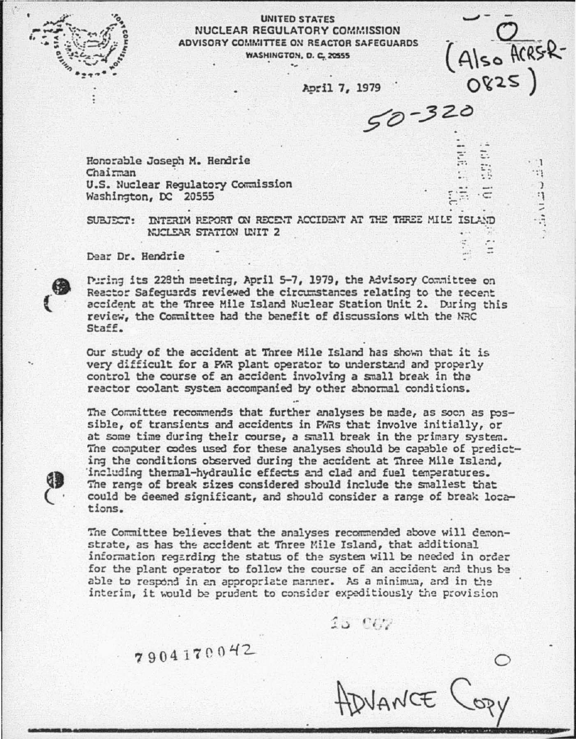

6

GB

## UNITED STATES NUCLEAR REGULATORY COMMISSION ADVISORY COMMITTEE ON REACTOR SAFEGUARDS **WASHINGTON, D. C. 20555**

April 7, 1979

 $70 - 320$ 

(Also ACRSR-

0825)

 $\cdot$  1

 $\mathbb{S}^*$ 

 $24 - 3 =$ 

Honorable Joseph M. Hendrie Chairman U.S. Nuclear Regulatory Commission Washington, DC 20555

SUBJECT: INTERIM REPORT ON RECENT ACCIDENT AT THE THREE MILE ISLAND NUCLEAR STATION UNIT 2

Dear Dr. Hendrie

Puring its 228th meeting, April 5-7, 1979, the Advisory Committee on Reactor Safequards reviewed the circumstances relating to the recent accident at the Three Mile Island Nuclear Station Unit 2. During this review, the Committee had the benefit of discussions with the NRC Staff.

Our study of the accident at Three Mile Island has shown that it is very difficult for a PAR plant operator to understand and properly control the course of an accident involving a small break in the reactor coolant system accompanied by other abnormal conditions.

The Committee recommends that further analyses be made, as soon as possible, of transients and accidents in PWRs that involve initially, or at some time during their course, a small break in the primary system. The computer codes used for these analyses should be capable of predicting the conditions observed during the accident at Three Mile Island. including thermal-hydraulic effects and clad and fuel temperatures. The range of break sizes considered should include the smallest that could be deemed significant, and should consider a range of break locations.

The Committee believes that the analyses recommended above will demonstrate, as has the accident at Three Mile Island, that additional information regarding the status of the system will be needed in order for the plant operator to follow the course of an accident and thus be able to respond in an appropriate manner. As a minimum, and in the interim, it would be prudent to consider expeditiously the provision

 $15.922$ 

7904170042

WANCE COPI